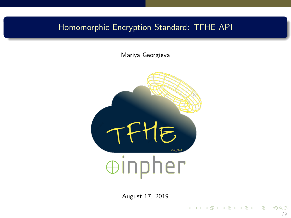# <span id="page-0-0"></span>Homomorphic Encryption Standard: TFHE API

Mariya Georgieva



August 17, 2019

1 / 9

目

イロメ イ団メ イミメ イミメー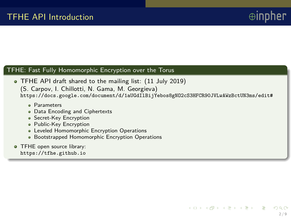$2/9$ 

メロメ メ御 メメ ミメ メミメー

#### TFHE: Fast Fully Homomorphic Encryption over the Torus

- TFHE API draft shared to the mailing list: (11 July 2019) (S. Carpov, I. Chillotti, N. Gama, M. Georgieva) [https://docs.google.com/document/d/1aUGdIlBijYebos8gNO2cS3HFCR90JVLwAWzBctUN3ms/edit#](https://docs.google.com/document/d/1aUGdIlBijYebos8gNO2cS3HFCR90JVLwAWzBctUN3ms/edit##)
	- **e** Parameters
	- Data Encoding and Ciphertexts
	- Secret-Key Encryption
	- Public-Key Encryption
	- **Leveled Homomorphic Encryption Operations**
	- Bootstrapped Homomorphic Encryption Operations
- **TFHE open source library:** <https://tfhe.github.io>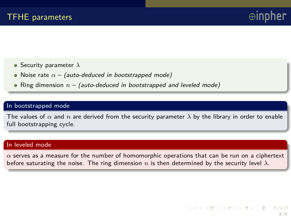- Security parameter *λ*
- Noise rate  $\alpha$  (auto-deduced in bootstrapped mode)
- Ring dimension  $n -$  (auto-deduced in bootstrapped and leveled mode)

#### In bootstrapped mode

The values of  $\alpha$  and  $n$  are derived from the security parameter  $\lambda$  by the library in order to enable full bootstrapping cycle.

#### In leveled mode

 $\alpha$  serves as a measure for the number of homomorphic operations that can be run on a ciphertext before saturating the noise. The ring dimension *n* is then determined by the security level  $\lambda$ .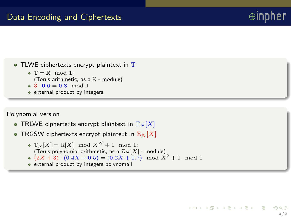

```
(Torus arithmetic, as a \mathbb Z - module)
```
- $\bullet$   $3 \cdot 0.6 = 0.8 \mod 1$
- external product by integers

### Polynomial version

- TRLWE ciphertexts encrypt plaintext in  $\mathbb{T}_N[X]$
- TRGSW ciphertexts encrypt plaintext in  $\mathbb{Z}_N[X]$ 
	- $\bullet$   $\mathbb{T}_N[X] = \mathbb{R}[X] \mod X^N + 1 \mod 1$ : (Torus polynomial arithmetic, as a  $\mathbb{Z}_N[X]$  - module)
	- $(2X+3) \cdot (0.4X+0.5) = (0.2X+0.7) \mod X^2+1 \mod 1$
	- external product by integers polynomail

メロメ メ御 メメ きょうぼ メール

 $\oplus$ int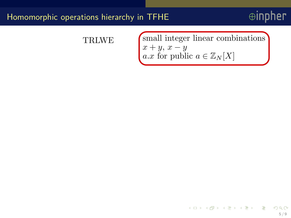# $\oplus$ inpher

# TRLWE

 $x + y$ ,  $x - y$ a.x for public  $a \in \mathbb{Z}_N[X]$ small integer linear combinations

> メロメ メ御 メメ きょうぼ メール 5 / 9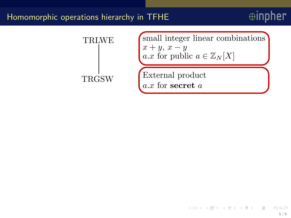



イロメ イ母メ イミメ イミメー 5 / 9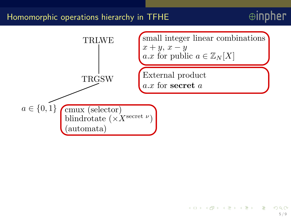

 $a \in \{0,1\}$  cmux (selector) blindrotate  $(\times X^{\text{secret }\nu})$ (automata)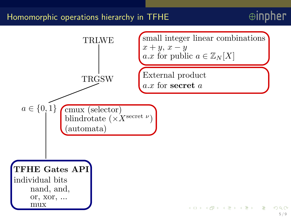

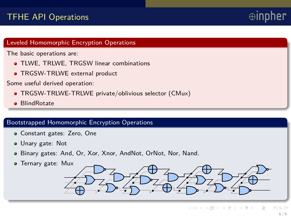# TFHE API Operations

#### Leveled Homomorphic Encryption Operations

The basic operations are:

- TLWE, TRLWE, TRGSW linear combinations
- TRGSW-TRLWE external product

Some useful derived operation:

- TRGSW-TRLWE-TRLWE private/oblivious selector (CMux)
- **a** BlindRotate

### Bootstrapped Homomorphic Encryption Operations

- Constant gates: Zero, One
- Unary gate: Not
- Binary gates: And, Or, Xor, Xnor, AndNot, OrNot, Nor, Nand.
- **•** Ternary gate: Mux

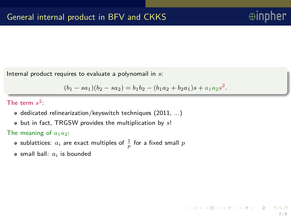Internal product requires to evaluate a polynomail in *s*:

 $(b_1 - sa_1)(b_2 - sa_2) = b_1b_2 - (b_1a_2 + b_2a_1)s + a_1a_2s^2$ .

The term  $s^2$ 

- dedicated relinearization/keyswitch techniques (2011, ...)
- but in fact, TRGSW provides the multiplication by *s*!

The meaning of  $a_1a_2$ :

- sublattices:  $a_i$  are exact multiples of  $\frac{1}{p}$  for a fixed small  $p$
- $\bullet$  small ball:  $a_i$  is bounded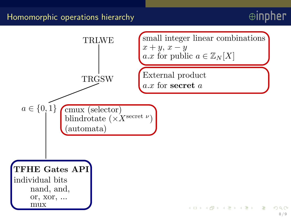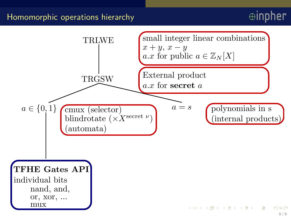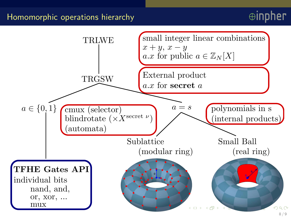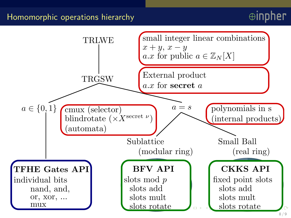<span id="page-13-0"></span>